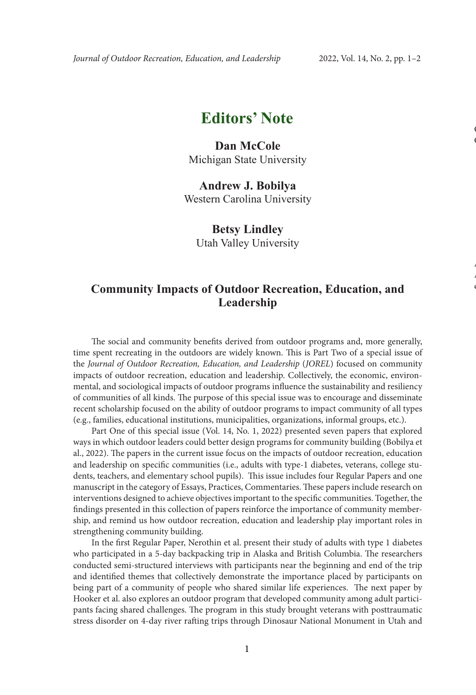# **Editors' Note**

### **Dan McCole** Michigan State University

#### **Andrew J. Bobilya** Western Carolina University

## **Betsy Lindley**

Utah Valley University

### **Community Impacts of Outdoor Recreation, Education, and Leadership**

The social and community benefits derived from outdoor programs and, more generally, time spent recreating in the outdoors are widely known. This is Part Two of a special issue of the *Journal of Outdoor Recreation, Education, and Leadership* (*JOREL*) focused on community impacts of outdoor recreation, education and leadership. Collectively, the economic, environmental, and sociological impacts of outdoor programs influence the sustainability and resiliency of communities of all kinds. The purpose of this special issue was to encourage and disseminate recent scholarship focused on the ability of outdoor programs to impact community of all types (e.g., families, educational institutions, municipalities, organizations, informal groups, etc.).

Part One of this special issue (Vol. 14, No. 1, 2022) presented seven papers that explored ways in which outdoor leaders could better design programs for community building (Bobilya et al., 2022). The papers in the current issue focus on the impacts of outdoor recreation, education and leadership on specific communities (i.e., adults with type-1 diabetes, veterans, college students, teachers, and elementary school pupils). This issue includes four Regular Papers and one manuscript in the category of Essays, Practices, Commentaries. These papers include research on interventions designed to achieve objectives important to the specific communities. Together, the findings presented in this collection of papers reinforce the importance of community membership, and remind us how outdoor recreation, education and leadership play important roles in strengthening community building.

In the first Regular Paper, Nerothin et al. present their study of adults with type 1 diabetes who participated in a 5-day backpacking trip in Alaska and British Columbia. The researchers conducted semi-structured interviews with participants near the beginning and end of the trip and identified themes that collectively demonstrate the importance placed by participants on being part of a community of people who shared similar life experiences. The next paper by Hooker et al. also explores an outdoor program that developed community among adult participants facing shared challenges. The program in this study brought veterans with posttraumatic stress disorder on 4-day river rafting trips through Dinosaur National Monument in Utah and